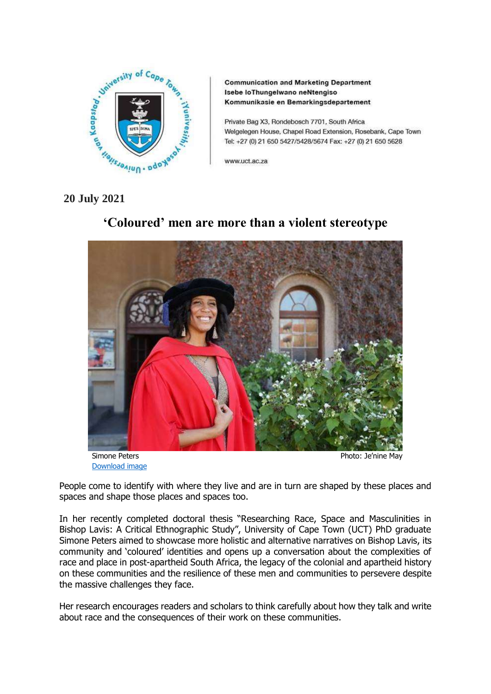

**Communication and Marketing Department** Isebe loThungelwano neNtengiso Kommunikasie en Bemarkingsdepartement

Private Bag X3, Rondebosch 7701, South Africa Welgelegen House, Chapel Road Extension, Rosebank, Cape Town Tel: +27 (0) 21 650 5427/5428/5674 Fax: +27 (0) 21 650 5628

www.uct.ac.za

## **20 July 2021**

## Simone Peters **Photo: Je'nine May** [Download image](https://drive.google.com/drive/folders/1QubbTmYChFPiU9Y-1cO-VEx6ZSa2REdD?usp=sharing)

**'Coloured' men are more than a violent stereotype**

People come to identify with where they live and are in turn are shaped by these places and spaces and shape those places and spaces too.

In her recently completed doctoral thesis "Researching Race, Space and Masculinities in Bishop Lavis: A Critical Ethnographic Study", University of Cape Town (UCT) PhD graduate Simone Peters aimed to showcase more holistic and alternative narratives on Bishop Lavis, its community and 'coloured' identities and opens up a conversation about the complexities of race and place in post-apartheid South Africa, the legacy of the colonial and apartheid history on these communities and the resilience of these men and communities to persevere despite the massive challenges they face.

Her research encourages readers and scholars to think carefully about how they talk and write about race and the consequences of their work on these communities.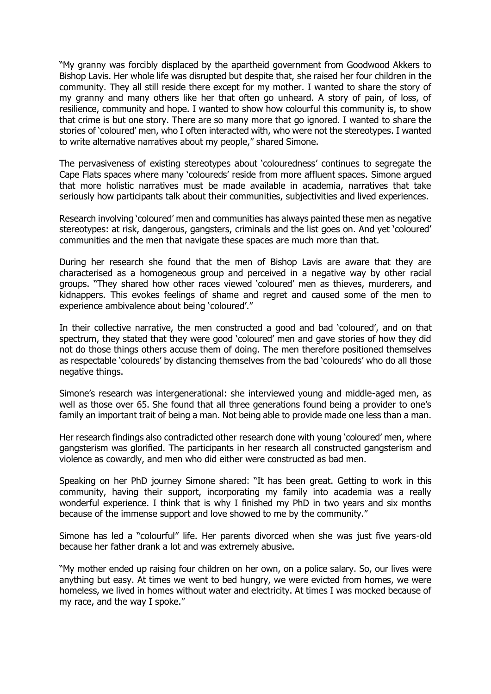"My granny was forcibly displaced by the apartheid government from Goodwood Akkers to Bishop Lavis. Her whole life was disrupted but despite that, she raised her four children in the community. They all still reside there except for my mother. I wanted to share the story of my granny and many others like her that often go unheard. A story of pain, of loss, of resilience, community and hope. I wanted to show how colourful this community is, to show that crime is but one story. There are so many more that go ignored. I wanted to share the stories of 'coloured' men, who I often interacted with, who were not the stereotypes. I wanted to write alternative narratives about my people," shared Simone.

The pervasiveness of existing stereotypes about 'colouredness' continues to segregate the Cape Flats spaces where many 'coloureds' reside from more affluent spaces. Simone argued that more holistic narratives must be made available in academia, narratives that take seriously how participants talk about their communities, subjectivities and lived experiences.

Research involving 'coloured' men and communities has always painted these men as negative stereotypes: at risk, dangerous, gangsters, criminals and the list goes on. And yet 'coloured' communities and the men that navigate these spaces are much more than that.

During her research she found that the men of Bishop Lavis are aware that they are characterised as a homogeneous group and perceived in a negative way by other racial groups. "They shared how other races viewed 'coloured' men as thieves, murderers, and kidnappers. This evokes feelings of shame and regret and caused some of the men to experience ambivalence about being 'coloured'."

In their collective narrative, the men constructed a good and bad 'coloured', and on that spectrum, they stated that they were good 'coloured' men and gave stories of how they did not do those things others accuse them of doing. The men therefore positioned themselves as respectable 'coloureds' by distancing themselves from the bad 'coloureds' who do all those negative things.

Simone's research was intergenerational: she interviewed young and middle-aged men, as well as those over 65. She found that all three generations found being a provider to one's family an important trait of being a man. Not being able to provide made one less than a man.

Her research findings also contradicted other research done with young 'coloured' men, where gangsterism was glorified. The participants in her research all constructed gangsterism and violence as cowardly, and men who did either were constructed as bad men.

Speaking on her PhD journey Simone shared: "It has been great. Getting to work in this community, having their support, incorporating my family into academia was a really wonderful experience. I think that is why I finished my PhD in two years and six months because of the immense support and love showed to me by the community."

Simone has led a "colourful" life. Her parents divorced when she was just five years-old because her father drank a lot and was extremely abusive.

"My mother ended up raising four children on her own, on a police salary. So, our lives were anything but easy. At times we went to bed hungry, we were evicted from homes, we were homeless, we lived in homes without water and electricity. At times I was mocked because of my race, and the way I spoke."